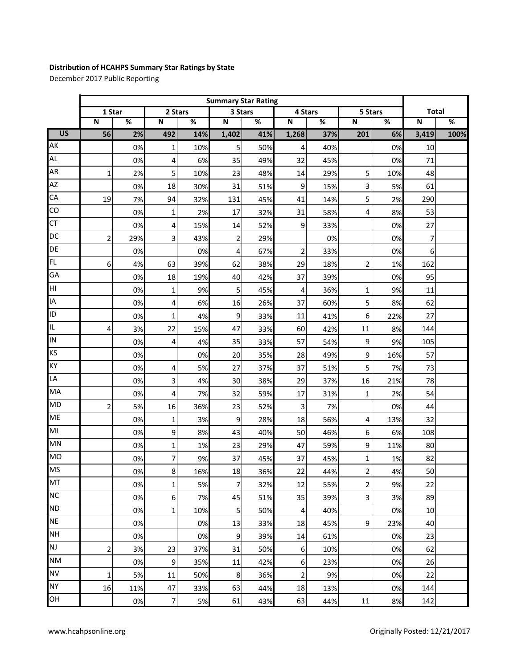## **Distribution of HCAHPS Summary Star Ratings by State**

December 2017 Public Reporting

|                 | <b>Summary Star Rating</b> |     |              |     |                |     |                |      |                         |      |              |      |
|-----------------|----------------------------|-----|--------------|-----|----------------|-----|----------------|------|-------------------------|------|--------------|------|
|                 | 1 Star                     |     | 2 Stars      |     | 3 Stars        |     | 4 Stars        |      | 5 Stars                 |      | <b>Total</b> |      |
|                 | $\mathsf N$                | %   | $\mathbf N$  | %   | ${\sf N}$      | %   | ${\sf N}$      | $\%$ | ${\bf N}$               | $\%$ | $\mathbf N$  | $\%$ |
| $\overline{US}$ | 56                         | 2%  | 492          | 14% | 1,402          | 41% | 1,268          | 37%  | 201                     | 6%   | 3,419        | 100% |
| AK              |                            | 0%  | 1            | 10% | 5              | 50% | 4              | 40%  |                         | 0%   | 10           |      |
| <b>AL</b>       |                            | 0%  | 4            | 6%  | 35             | 49% | 32             | 45%  |                         | 0%   | 71           |      |
| AR              | 1                          | 2%  | 5            | 10% | 23             | 48% | 14             | 29%  | 5                       | 10%  | 48           |      |
| AZ              |                            | 0%  | 18           | 30% | 31             | 51% | 9              | 15%  | 3                       | 5%   | 61           |      |
| CA              | 19                         | 7%  | 94           | 32% | 131            | 45% | 41             | 14%  | 5                       | 2%   | 290          |      |
| CO              |                            | 0%  | 1            | 2%  | 17             | 32% | 31             | 58%  | 4                       | 8%   | 53           |      |
| <b>CT</b>       |                            | 0%  | 4            | 15% | 14             | 52% | 9              | 33%  |                         | 0%   | 27           |      |
| DC              | $\overline{2}$             | 29% | 3            | 43% | $\overline{2}$ | 29% |                | 0%   |                         | 0%   | 7            |      |
| DE              |                            | 0%  |              | 0%  | 4              | 67% | $\overline{2}$ | 33%  |                         | 0%   | 6            |      |
| <b>FL</b>       | 6                          | 4%  | 63           | 39% | 62             | 38% | 29             | 18%  | $\overline{2}$          | 1%   | 162          |      |
| GA              |                            | 0%  | 18           | 19% | 40             | 42% | 37             | 39%  |                         | 0%   | 95           |      |
| HI              |                            | 0%  | 1            | 9%  | 5              | 45% | 4              | 36%  | 1                       | 9%   | 11           |      |
| IA              |                            | 0%  | 4            | 6%  | 16             | 26% | 37             | 60%  | 5                       | 8%   | 62           |      |
| ID              |                            | 0%  | 1            | 4%  | 9              | 33% | 11             | 41%  | 6                       | 22%  | 27           |      |
| IL.             | 4                          | 3%  | 22           | 15% | 47             | 33% | 60             | 42%  | 11                      | 8%   | 144          |      |
| IN              |                            | 0%  | 4            | 4%  | 35             | 33% | 57             | 54%  | 9                       | 9%   | 105          |      |
| KS              |                            | 0%  |              | 0%  | 20             | 35% | 28             | 49%  | 9                       | 16%  | 57           |      |
| KY              |                            | 0%  | 4            | 5%  | 27             | 37% | 37             | 51%  | 5                       | 7%   | 73           |      |
| LA              |                            | 0%  | 3            | 4%  | 30             | 38% | 29             | 37%  | 16                      | 21%  | 78           |      |
| MA              |                            | 0%  | 4            | 7%  | 32             | 59% | 17             | 31%  | $\mathbf 1$             | 2%   | 54           |      |
| <b>MD</b>       | 2                          | 5%  | 16           | 36% | 23             | 52% | 3              | 7%   |                         | 0%   | 44           |      |
| <b>ME</b>       |                            | 0%  | 1            | 3%  | 9              | 28% | 18             | 56%  | 4                       | 13%  | 32           |      |
| M <sub>l</sub>  |                            | 0%  | 9            | 8%  | 43             | 40% | 50             | 46%  | 6                       | 6%   | 108          |      |
| MN              |                            | 0%  | 1            | 1%  | 23             | 29% | 47             | 59%  | 9                       | 11%  | 80           |      |
| <b>MO</b>       |                            | 0%  | 7            | 9%  | 37             | 45% | 37             | 45%  | 1                       | 1%   | 82           |      |
| <b>MS</b>       |                            | 0%  | 8            | 16% | 18             | 36% | 22             | 44%  | $\overline{2}$          | 4%   | 50           |      |
| MT              |                            | 0%  | 1            | 5%  | $\overline{7}$ | 32% | 12             | 55%  | $\overline{\mathbf{c}}$ | 9%   | 22           |      |
| <b>NC</b>       |                            | 0%  | 6            | 7%  | 45             | 51% | 35             | 39%  | 3                       | 3%   | 89           |      |
| <b>ND</b>       |                            | 0%  | $\mathbf{1}$ | 10% | 5              | 50% | 4              | 40%  |                         | 0%   | 10           |      |
| <b>NE</b>       |                            | 0%  |              | 0%  | 13             | 33% | 18             | 45%  | 9                       | 23%  | 40           |      |
| <b>NH</b>       |                            | 0%  |              | 0%  | 9              | 39% | 14             | 61%  |                         | 0%   | 23           |      |
| <b>NJ</b>       | 2                          | 3%  | 23           | 37% | 31             | 50% | 6              | 10%  |                         | 0%   | 62           |      |
| <b>NM</b>       |                            | 0%  | 9            | 35% | 11             | 42% | 6              | 23%  |                         | 0%   | 26           |      |
| <b>NV</b>       | 1                          | 5%  | 11           | 50% | 8              | 36% | $\overline{2}$ | 9%   |                         | 0%   | 22           |      |
| <b>NY</b>       | 16                         | 11% | 47           | 33% | 63             | 44% | 18             | 13%  |                         | 0%   | 144          |      |
| OH              |                            | 0%  | 7            | 5%  | 61             | 43% | 63             | 44%  | $11\,$                  | 8%   | 142          |      |